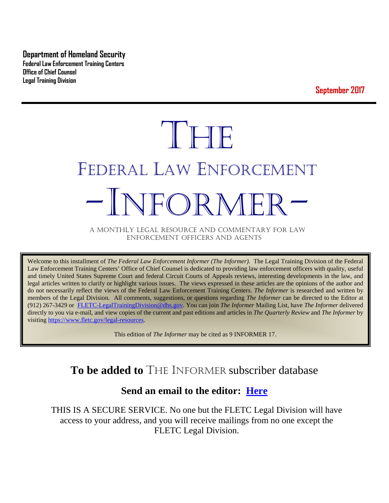**Department of Homeland Security Federal Law Enforcement Training Centers Office of Chief Counsel Legal Training Division** 

**September 2017**

# THE FEDERAL LAW ENFORCEMENT -INFORMER- A MONTHLY LEGAL RESOURCE AND COMMENTARY FOR LAW

ENFORCEMENT OFFICERS AND AGENTS

Welcome to this installment of *The Federal Law Enforcement Informer (The Informer).* The Legal Training Division of the Federal Law Enforcement Training Centers' Office of Chief Counsel is dedicated to providing law enforcement officers with quality, useful and timely United States Supreme Court and federal Circuit Courts of Appeals reviews, interesting developments in the law, and legal articles written to clarify or highlight various issues. The views expressed in these articles are the opinions of the author and do not necessarily reflect the views of the Federal Law Enforcement Training Centers. *The Informer* is researched and written by members of the Legal Division. All comments, suggestions, or questions regarding *The Informer* can be directed to the Editor at (912) 267-3429 or [FLETC-LegalTrainingDivision@dhs.gov.](mailto:FLETC-LegalTrainingDivision@dhs.gov) You can join *The Informer* Mailing List, have *The Informer* delivered directly to you via e-mail, and view copies of the current and past editions and articles in *The Quarterly Review* and *The Informer* by visiting [https://www.fletc.gov/legal-resources.](https://www.fletc.gov/legal-resources) 

This edition of *The Informer* may be cited as 9 INFORMER 17.

## **To be added to** THE INFORMER subscriber database

## **Send an email to the editor: [Here](mailto:Kenneth.a.anderson@dhs.gov)**

THIS IS A SECURE SERVICE. No one but the FLETC Legal Division will have access to your address, and you will receive mailings from no one except the FLETC Legal Division.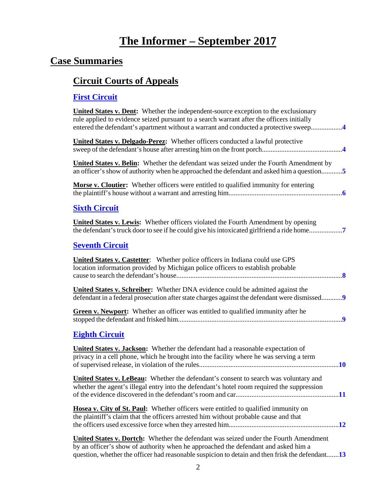## **The Informer – September <sup>2017</sup>**

## **Case Summaries**

## **[Circuit Courts of Appeals](#page-3-0)**

## **[First Circuit](#page-3-1)**

| <b>United States v. Dent:</b> Whether the independent-source exception to the exclusionary<br>rule applied to evidence seized pursuant to a search warrant after the officers initially<br>entered the defendant's apartment without a warrant and conducted a protective sweep4     |
|--------------------------------------------------------------------------------------------------------------------------------------------------------------------------------------------------------------------------------------------------------------------------------------|
| <b>United States v. Delgado-Perez:</b> Whether officers conducted a lawful protective                                                                                                                                                                                                |
| <b>United States v. Belin:</b> Whether the defendant was seized under the Fourth Amendment by<br>an officer's show of authority when he approached the defendant and asked him a question                                                                                            |
| <b>Morse v. Cloutier:</b> Whether officers were entitled to qualified immunity for entering                                                                                                                                                                                          |
| <b>Sixth Circuit</b>                                                                                                                                                                                                                                                                 |
| <b>United States v. Lewis:</b> Whether officers violated the Fourth Amendment by opening<br>the defendant's truck door to see if he could give his intoxicated girlfriend a ride home                                                                                                |
| <b>Seventh Circuit</b>                                                                                                                                                                                                                                                               |
| <b>United States v. Castetter:</b> Whether police officers in Indiana could use GPS<br>location information provided by Michigan police officers to establish probable                                                                                                               |
| <b>United States v. Schreiber:</b> Whether DNA evidence could be admitted against the<br>defendant in a federal prosecution after state charges against the defendant were dismissed                                                                                                 |
| Green v. Newport: Whether an officer was entitled to qualified immunity after he                                                                                                                                                                                                     |
| <b>Eighth Circuit</b>                                                                                                                                                                                                                                                                |
| <b>United States v. Jackson:</b> Whether the defendant had a reasonable expectation of<br>privacy in a cell phone, which he brought into the facility where he was serving a term                                                                                                    |
| <b>United States v. LeBeau:</b> Whether the defendant's consent to search was voluntary and<br>whether the agent's illegal entry into the defendant's hotel room required the suppression                                                                                            |
| Hosea v. City of St. Paul: Whether officers were entitled to qualified immunity on<br>the plaintiff's claim that the officers arrested him without probable cause and that                                                                                                           |
| <b>United States v. Dortch:</b> Whether the defendant was seized under the Fourth Amendment<br>by an officer's show of authority when he approached the defendant and asked him a<br>question, whether the officer had reasonable suspicion to detain and then frisk the defendant13 |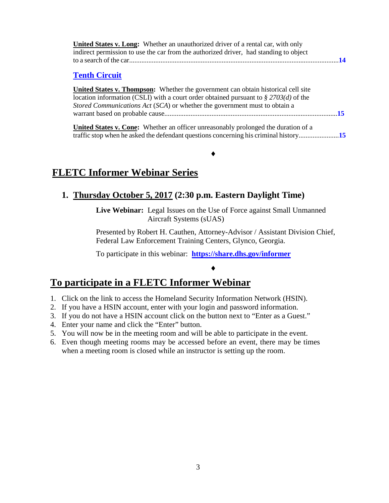| <b>United States v. Long:</b> Whether an unauthorized driver of a rental car, with only |
|-----------------------------------------------------------------------------------------|
| indirect permission to use the car from the authorized driver, had standing to object   |
|                                                                                         |

### **[Tenth Circuit](#page-14-0)**

**United States v. Thompson:** Whether the government can obtain historical cell site location information (CSLI) with a court order obtained pursuant to *§ 2703(d)* of the *Stored Communications Act* (*SCA*) or whether the government must to obtain a warrant based on probable cause...................................................................................................**[15](#page-14-1)**

**United States v. Cone:** Whether an officer unreasonably prolonged the duration of a traffic stop when he asked the defendant questions concerning his criminal history.......................**[15](#page-14-2)**

♦

## **FLETC Informer Webinar Series**

## **1. Thursday October 5, 2017 (2:30 p.m. Eastern Daylight Time)**

**Live Webinar:** Legal Issues on the Use of Force against Small Unmanned Aircraft Systems (sUAS)

Presented by Robert H. Cauthen, Attorney-Advisor / Assistant Division Chief, Federal Law Enforcement Training Centers, Glynco, Georgia.

♦

To participate in this webinar: **<https://share.dhs.gov/informer>**

## **To participate in a FLETC Informer Webinar**

- 1. Click on the link to access the Homeland Security Information Network (HSIN).
- 2. If you have a HSIN account, enter with your login and password information.
- 3. If you do not have a HSIN account click on the button next to "Enter as a Guest."
- 4. Enter your name and click the "Enter" button.
- 5. You will now be in the meeting room and will be able to participate in the event.
- 6. Even though meeting rooms may be accessed before an event, there may be times when a meeting room is closed while an instructor is setting up the room.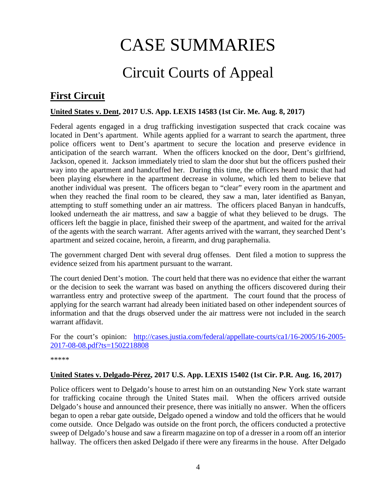# CASE SUMMARIES

# Circuit Courts of Appeal

## <span id="page-3-1"></span><span id="page-3-0"></span>**First Circuit**

#### <span id="page-3-2"></span>**United States v. Dent, 2017 U.S. App. LEXIS 14583 (1st Cir. Me. Aug. 8, 2017)**

Federal agents engaged in a drug trafficking investigation suspected that crack cocaine was located in Dent's apartment. While agents applied for a warrant to search the apartment, three police officers went to Dent's apartment to secure the location and preserve evidence in anticipation of the search warrant. When the officers knocked on the door, Dent's girlfriend, Jackson, opened it. Jackson immediately tried to slam the door shut but the officers pushed their way into the apartment and handcuffed her. During this time, the officers heard music that had been playing elsewhere in the apartment decrease in volume, which led them to believe that another individual was present. The officers began to "clear" every room in the apartment and when they reached the final room to be cleared, they saw a man, later identified as Banyan, attempting to stuff something under an air mattress. The officers placed Banyan in handcuffs, looked underneath the air mattress, and saw a baggie of what they believed to be drugs. The officers left the baggie in place, finished their sweep of the apartment, and waited for the arrival of the agents with the search warrant. After agents arrived with the warrant, they searched Dent's apartment and seized cocaine, heroin, a firearm, and drug paraphernalia.

The government charged Dent with several drug offenses. Dent filed a motion to suppress the evidence seized from his apartment pursuant to the warrant.

The court denied Dent's motion. The court held that there was no evidence that either the warrant or the decision to seek the warrant was based on anything the officers discovered during their warrantless entry and protective sweep of the apartment. The court found that the process of applying for the search warrant had already been initiated based on other independent sources of information and that the drugs observed under the air mattress were not included in the search warrant affidavit.

For the court's opinion: [http://cases.justia.com/federal/appellate-courts/ca1/16-2005/16-2005-](http://cases.justia.com/federal/appellate-courts/ca1/16-2005/16-2005-2017-08-08.pdf?ts=1502218808) [2017-08-08.pdf?ts=1502218808](http://cases.justia.com/federal/appellate-courts/ca1/16-2005/16-2005-2017-08-08.pdf?ts=1502218808)

\*\*\*\*\*

#### <span id="page-3-3"></span>**United States v. Delgado-Pérez, 2017 U.S. App. LEXIS 15402 (1st Cir. P.R. Aug. 16, 2017)**

Police officers went to Delgado's house to arrest him on an outstanding New York state warrant for trafficking cocaine through the United States mail. When the officers arrived outside Delgado's house and announced their presence, there was initially no answer. When the officers began to open a rebar gate outside, Delgado opened a window and told the officers that he would come outside. Once Delgado was outside on the front porch, the officers conducted a protective sweep of Delgado's house and saw a firearm magazine on top of a dresser in a room off an interior hallway. The officers then asked Delgado if there were any firearms in the house. After Delgado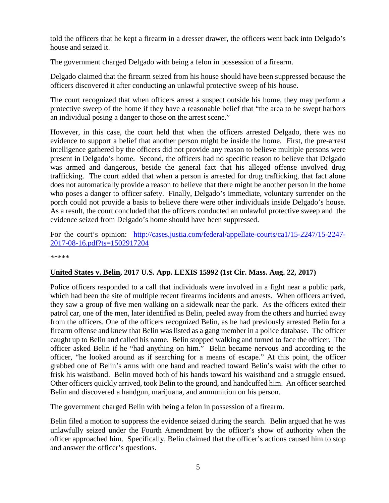told the officers that he kept a firearm in a dresser drawer, the officers went back into Delgado's house and seized it.

The government charged Delgado with being a felon in possession of a firearm.

Delgado claimed that the firearm seized from his house should have been suppressed because the officers discovered it after conducting an unlawful protective sweep of his house.

The court recognized that when officers arrest a suspect outside his home, they may perform a protective sweep of the home if they have a reasonable belief that "the area to be swept harbors an individual posing a danger to those on the arrest scene."

However, in this case, the court held that when the officers arrested Delgado, there was no evidence to support a belief that another person might be inside the home. First, the pre-arrest intelligence gathered by the officers did not provide any reason to believe multiple persons were present in Delgado's home. Second, the officers had no specific reason to believe that Delgado was armed and dangerous, beside the general fact that his alleged offense involved drug trafficking. The court added that when a person is arrested for drug trafficking, that fact alone does not automatically provide a reason to believe that there might be another person in the home who poses a danger to officer safety. Finally, Delgado's immediate, voluntary surrender on the porch could not provide a basis to believe there were other individuals inside Delgado's house. As a result, the court concluded that the officers conducted an unlawful protective sweep and the evidence seized from Delgado's home should have been suppressed.

For the court's opinion: [http://cases.justia.com/federal/appellate-courts/ca1/15-2247/15-2247-](http://cases.justia.com/federal/appellate-courts/ca1/15-2247/15-2247-2017-08-16.pdf?ts=1502917204) [2017-08-16.pdf?ts=1502917204](http://cases.justia.com/federal/appellate-courts/ca1/15-2247/15-2247-2017-08-16.pdf?ts=1502917204)

\*\*\*\*\*

#### <span id="page-4-0"></span>**United States v. Belin, 2017 U.S. App. LEXIS 15992 (1st Cir. Mass. Aug. 22, 2017)**

Police officers responded to a call that individuals were involved in a fight near a public park, which had been the site of multiple recent firearms incidents and arrests. When officers arrived, they saw a group of five men walking on a sidewalk near the park. As the officers exited their patrol car, one of the men, later identified as Belin, peeled away from the others and hurried away from the officers. One of the officers recognized Belin, as he had previously arrested Belin for a firearm offense and knew that Belin was listed as a gang member in a police database. The officer caught up to Belin and called his name. Belin stopped walking and turned to face the officer. The officer asked Belin if he "had anything on him." Belin became nervous and according to the officer, "he looked around as if searching for a means of escape." At this point, the officer grabbed one of Belin's arms with one hand and reached toward Belin's waist with the other to frisk his waistband. Belin moved both of his hands toward his waistband and a struggle ensued. Other officers quickly arrived, took Belin to the ground, and handcuffed him. An officer searched Belin and discovered a handgun, marijuana, and ammunition on his person.

The government charged Belin with being a felon in possession of a firearm.

Belin filed a motion to suppress the evidence seized during the search. Belin argued that he was unlawfully seized under the Fourth Amendment by the officer's show of authority when the officer approached him. Specifically, Belin claimed that the officer's actions caused him to stop and answer the officer's questions.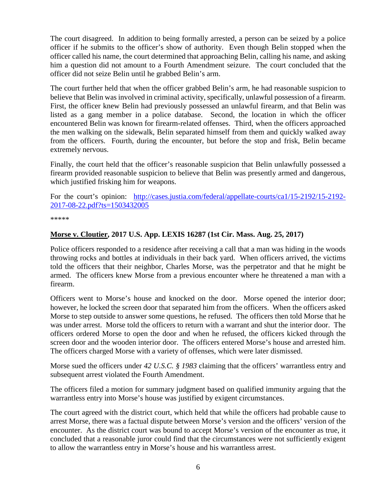The court disagreed. In addition to being formally arrested, a person can be seized by a police officer if he submits to the officer's show of authority. Even though Belin stopped when the officer called his name, the court determined that approaching Belin, calling his name, and asking him a question did not amount to a Fourth Amendment seizure. The court concluded that the officer did not seize Belin until he grabbed Belin's arm.

The court further held that when the officer grabbed Belin's arm, he had reasonable suspicion to believe that Belin was involved in criminal activity, specifically, unlawful possession of a firearm. First, the officer knew Belin had previously possessed an unlawful firearm, and that Belin was listed as a gang member in a police database. Second, the location in which the officer encountered Belin was known for firearm-related offenses. Third, when the officers approached the men walking on the sidewalk, Belin separated himself from them and quickly walked away from the officers. Fourth, during the encounter, but before the stop and frisk, Belin became extremely nervous.

Finally, the court held that the officer's reasonable suspicion that Belin unlawfully possessed a firearm provided reasonable suspicion to believe that Belin was presently armed and dangerous, which justified frisking him for weapons.

For the court's opinion: [http://cases.justia.com/federal/appellate-courts/ca1/15-2192/15-2192-](http://cases.justia.com/federal/appellate-courts/ca1/15-2192/15-2192-2017-08-22.pdf?ts=1503432005) [2017-08-22.pdf?ts=1503432005](http://cases.justia.com/federal/appellate-courts/ca1/15-2192/15-2192-2017-08-22.pdf?ts=1503432005)

\*\*\*\*\*

#### <span id="page-5-0"></span>**Morse v. Cloutier, 2017 U.S. App. LEXIS 16287 (1st Cir. Mass. Aug. 25, 2017)**

Police officers responded to a residence after receiving a call that a man was hiding in the woods throwing rocks and bottles at individuals in their back yard. When officers arrived, the victims told the officers that their neighbor, Charles Morse, was the perpetrator and that he might be armed. The officers knew Morse from a previous encounter where he threatened a man with a firearm.

Officers went to Morse's house and knocked on the door. Morse opened the interior door; however, he locked the screen door that separated him from the officers. When the officers asked Morse to step outside to answer some questions, he refused. The officers then told Morse that he was under arrest. Morse told the officers to return with a warrant and shut the interior door. The officers ordered Morse to open the door and when he refused, the officers kicked through the screen door and the wooden interior door. The officers entered Morse's house and arrested him. The officers charged Morse with a variety of offenses, which were later dismissed.

Morse sued the officers under *42 U.S.C. § 1983* claiming that the officers' warrantless entry and subsequent arrest violated the Fourth Amendment.

The officers filed a motion for summary judgment based on qualified immunity arguing that the warrantless entry into Morse's house was justified by exigent circumstances.

The court agreed with the district court, which held that while the officers had probable cause to arrest Morse, there was a factual dispute between Morse's version and the officers' version of the encounter. As the district court was bound to accept Morse's version of the encounter as true, it concluded that a reasonable juror could find that the circumstances were not sufficiently exigent to allow the warrantless entry in Morse's house and his warrantless arrest.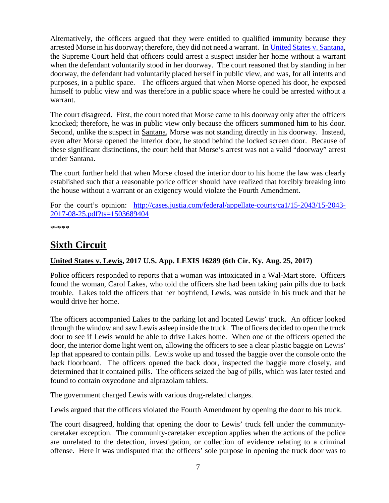Alternatively, the officers argued that they were entitled to qualified immunity because they arrested Morse in his doorway; therefore, they did not need a warrant. I[n United States v. Santana,](https://supreme.justia.com/cases/federal/us/427/38/) the Supreme Court held that officers could arrest a suspect insider her home without a warrant when the defendant voluntarily stood in her doorway. The court reasoned that by standing in her doorway, the defendant had voluntarily placed herself in public view, and was, for all intents and purposes, in a public space. The officers argued that when Morse opened his door, he exposed himself to public view and was therefore in a public space where he could be arrested without a warrant.

The court disagreed. First, the court noted that Morse came to his doorway only after the officers knocked; therefore, he was in public view only because the officers summoned him to his door. Second, unlike the suspect in Santana, Morse was not standing directly in his doorway. Instead, even after Morse opened the interior door, he stood behind the locked screen door. Because of these significant distinctions, the court held that Morse's arrest was not a valid "doorway" arrest under Santana.

The court further held that when Morse closed the interior door to his home the law was clearly established such that a reasonable police officer should have realized that forcibly breaking into the house without a warrant or an exigency would violate the Fourth Amendment.

For the court's opinion: [http://cases.justia.com/federal/appellate-courts/ca1/15-2043/15-2043-](http://cases.justia.com/federal/appellate-courts/ca1/15-2043/15-2043-2017-08-25.pdf?ts=1503689404) [2017-08-25.pdf?ts=1503689404](http://cases.justia.com/federal/appellate-courts/ca1/15-2043/15-2043-2017-08-25.pdf?ts=1503689404)

\*\*\*\*\*

## <span id="page-6-0"></span>**Sixth Circuit**

## <span id="page-6-1"></span>**United States v. Lewis, 2017 U.S. App. LEXIS 16289 (6th Cir. Ky. Aug. 25, 2017)**

Police officers responded to reports that a woman was intoxicated in a Wal-Mart store. Officers found the woman, Carol Lakes, who told the officers she had been taking pain pills due to back trouble. Lakes told the officers that her boyfriend, Lewis, was outside in his truck and that he would drive her home.

The officers accompanied Lakes to the parking lot and located Lewis' truck. An officer looked through the window and saw Lewis asleep inside the truck. The officers decided to open the truck door to see if Lewis would be able to drive Lakes home. When one of the officers opened the door, the interior dome light went on, allowing the officers to see a clear plastic baggie on Lewis' lap that appeared to contain pills. Lewis woke up and tossed the baggie over the console onto the back floorboard. The officers opened the back door, inspected the baggie more closely, and determined that it contained pills. The officers seized the bag of pills, which was later tested and found to contain oxycodone and alprazolam tablets.

The government charged Lewis with various drug-related charges.

Lewis argued that the officers violated the Fourth Amendment by opening the door to his truck.

The court disagreed, holding that opening the door to Lewis' truck fell under the communitycaretaker exception. The community-caretaker exception applies when the actions of the police are unrelated to the detection, investigation, or collection of evidence relating to a criminal offense. Here it was undisputed that the officers' sole purpose in opening the truck door was to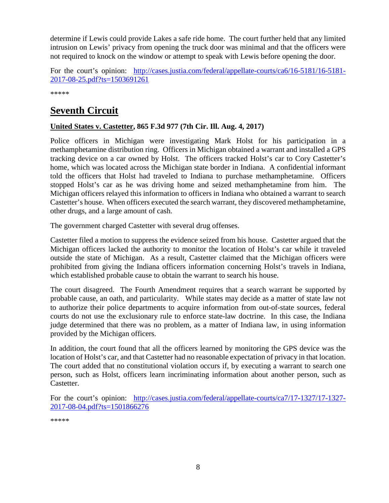determine if Lewis could provide Lakes a safe ride home. The court further held that any limited intrusion on Lewis' privacy from opening the truck door was minimal and that the officers were not required to knock on the window or attempt to speak with Lewis before opening the door.

For the court's opinion: [http://cases.justia.com/federal/appellate-courts/ca6/16-5181/16-5181-](http://cases.justia.com/federal/appellate-courts/ca6/16-5181/16-5181-2017-08-25.pdf?ts=1503691261) [2017-08-25.pdf?ts=1503691261](http://cases.justia.com/federal/appellate-courts/ca6/16-5181/16-5181-2017-08-25.pdf?ts=1503691261)

\*\*\*\*\*

## <span id="page-7-0"></span>**Seventh Circuit**

## <span id="page-7-1"></span>**United States v. Castetter, 865 F.3d 977 (7th Cir. Ill. Aug. 4, 2017)**

Police officers in Michigan were investigating Mark Holst for his participation in a methamphetamine distribution ring. Officers in Michigan obtained a warrant and installed a GPS tracking device on a car owned by Holst. The officers tracked Holst's car to Cory Castetter's home, which was located across the Michigan state border in Indiana. A confidential informant told the officers that Holst had traveled to Indiana to purchase methamphetamine. Officers stopped Holst's car as he was driving home and seized methamphetamine from him. The Michigan officers relayed this information to officers in Indiana who obtained a warrant to search Castetter's house. When officers executed the search warrant, they discovered methamphetamine, other drugs, and a large amount of cash.

The government charged Castetter with several drug offenses.

Castetter filed a motion to suppress the evidence seized from his house. Castetter argued that the Michigan officers lacked the authority to monitor the location of Holst's car while it traveled outside the state of Michigan. As a result, Castetter claimed that the Michigan officers were prohibited from giving the Indiana officers information concerning Holst's travels in Indiana, which established probable cause to obtain the warrant to search his house.

The court disagreed. The Fourth Amendment requires that a search warrant be supported by probable cause, an oath, and particularity. While states may decide as a matter of state law not to authorize their police departments to acquire information from out-of-state sources, federal courts do not use the exclusionary rule to enforce state-law doctrine. In this case, the Indiana judge determined that there was no problem, as a matter of Indiana law, in using information provided by the Michigan officers.

In addition, the court found that all the officers learned by monitoring the GPS device was the location of Holst's car, and that Castetter had no reasonable expectation of privacy in that location. The court added that no constitutional violation occurs if, by executing a warrant to search one person, such as Holst, officers learn incriminating information about another person, such as Castetter.

For the court's opinion: [http://cases.justia.com/federal/appellate-courts/ca7/17-1327/17-1327-](http://cases.justia.com/federal/appellate-courts/ca7/17-1327/17-1327-2017-08-04.pdf?ts=1501866276) [2017-08-04.pdf?ts=1501866276](http://cases.justia.com/federal/appellate-courts/ca7/17-1327/17-1327-2017-08-04.pdf?ts=1501866276)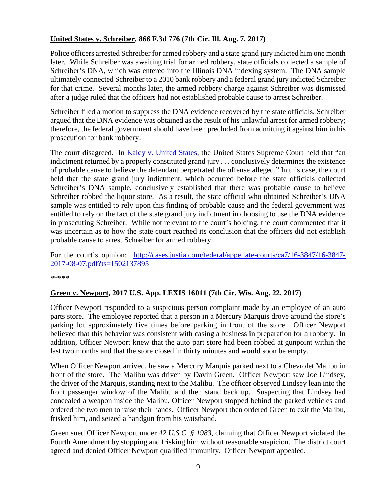## <span id="page-8-0"></span>**United States v. Schreiber, 866 F.3d 776 (7th Cir. Ill. Aug. 7, 2017)**

Police officers arrested Schreiber for armed robbery and a state grand jury indicted him one month later. While Schreiber was awaiting trial for armed robbery, state officials collected a sample of Schreiber's DNA, which was entered into the Illinois DNA indexing system. The DNA sample ultimately connected Schreiber to a 2010 bank robbery and a federal grand jury indicted Schreiber for that crime. Several months later, the armed robbery charge against Schreiber was dismissed after a judge ruled that the officers had not established probable cause to arrest Schreiber.

Schreiber filed a motion to suppress the DNA evidence recovered by the state officials. Schreiber argued that the DNA evidence was obtained as the result of his unlawful arrest for armed robbery; therefore, the federal government should have been precluded from admitting it against him in his prosecution for bank robbery.

The court disagreed. In [Kaley v. United States,](https://supreme.justia.com/cases/federal/us/571/12-464/) the United States Supreme Court held that "an indictment returned by a properly constituted grand jury . . . conclusively determines the existence of probable cause to believe the defendant perpetrated the offense alleged." In this case, the court held that the state grand jury indictment, which occurred before the state officials collected Schreiber's DNA sample, conclusively established that there was probable cause to believe Schreiber robbed the liquor store. As a result, the state official who obtained Schreiber's DNA sample was entitled to rely upon this finding of probable cause and the federal government was entitled to rely on the fact of the state grand jury indictment in choosing to use the DNA evidence in prosecuting Schreiber. While not relevant to the court's holding, the court commented that it was uncertain as to how the state court reached its conclusion that the officers did not establish probable cause to arrest Schreiber for armed robbery.

For the court's opinion: [http://cases.justia.com/federal/appellate-courts/ca7/16-3847/16-3847-](http://cases.justia.com/federal/appellate-courts/ca7/16-3847/16-3847-2017-08-07.pdf?ts=1502137895) [2017-08-07.pdf?ts=1502137895](http://cases.justia.com/federal/appellate-courts/ca7/16-3847/16-3847-2017-08-07.pdf?ts=1502137895)

\*\*\*\*\*

#### <span id="page-8-1"></span>**Green v. Newport, 2017 U.S. App. LEXIS 16011 (7th Cir. Wis. Aug. 22, 2017)**

Officer Newport responded to a suspicious person complaint made by an employee of an auto parts store. The employee reported that a person in a Mercury Marquis drove around the store's parking lot approximately five times before parking in front of the store. Officer Newport believed that this behavior was consistent with casing a business in preparation for a robbery. In addition, Officer Newport knew that the auto part store had been robbed at gunpoint within the last two months and that the store closed in thirty minutes and would soon be empty.

When Officer Newport arrived, he saw a Mercury Marquis parked next to a Chevrolet Malibu in front of the store. The Malibu was driven by Davin Green. Officer Newport saw Joe Lindsey, the driver of the Marquis, standing next to the Malibu. The officer observed Lindsey lean into the front passenger window of the Malibu and then stand back up. Suspecting that Lindsey had concealed a weapon inside the Malibu, Officer Newport stopped behind the parked vehicles and ordered the two men to raise their hands. Officer Newport then ordered Green to exit the Malibu, frisked him, and seized a handgun from his waistband.

Green sued Officer Newport under *42 U.S.C. § 1983*, claiming that Officer Newport violated the Fourth Amendment by stopping and frisking him without reasonable suspicion. The district court agreed and denied Officer Newport qualified immunity. Officer Newport appealed.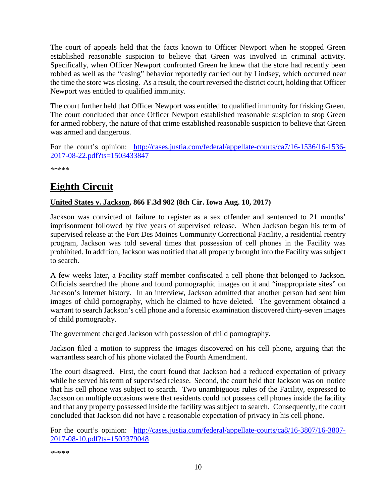The court of appeals held that the facts known to Officer Newport when he stopped Green established reasonable suspicion to believe that Green was involved in criminal activity. Specifically, when Officer Newport confronted Green he knew that the store had recently been robbed as well as the "casing" behavior reportedly carried out by Lindsey, which occurred near the time the store was closing. As a result, the court reversed the district court, holding that Officer Newport was entitled to qualified immunity.

The court further held that Officer Newport was entitled to qualified immunity for frisking Green. The court concluded that once Officer Newport established reasonable suspicion to stop Green for armed robbery, the nature of that crime established reasonable suspicion to believe that Green was armed and dangerous.

For the court's opinion: [http://cases.justia.com/federal/appellate-courts/ca7/16-1536/16-1536-](http://cases.justia.com/federal/appellate-courts/ca7/16-1536/16-1536-2017-08-22.pdf?ts=1503433847) [2017-08-22.pdf?ts=1503433847](http://cases.justia.com/federal/appellate-courts/ca7/16-1536/16-1536-2017-08-22.pdf?ts=1503433847)

\*\*\*\*\*

## <span id="page-9-0"></span>**Eighth Circuit**

## <span id="page-9-1"></span>**United States v. Jackson, 866 F.3d 982 (8th Cir. Iowa Aug. 10, 2017)**

Jackson was convicted of failure to register as a sex offender and sentenced to 21 months' imprisonment followed by five years of supervised release. When Jackson began his term of supervised release at the Fort Des Moines Community Correctional Facility, a residential reentry program, Jackson was told several times that possession of cell phones in the Facility was prohibited. In addition, Jackson was notified that all property brought into the Facility was subject to search.

A few weeks later, a Facility staff member confiscated a cell phone that belonged to Jackson. Officials searched the phone and found pornographic images on it and "inappropriate sites" on Jackson's Internet history. In an interview, Jackson admitted that another person had sent him images of child pornography, which he claimed to have deleted. The government obtained a warrant to search Jackson's cell phone and a forensic examination discovered thirty-seven images of child pornography.

The government charged Jackson with possession of child pornography.

Jackson filed a motion to suppress the images discovered on his cell phone, arguing that the warrantless search of his phone violated the Fourth Amendment.

The court disagreed. First, the court found that Jackson had a reduced expectation of privacy while he served his term of supervised release. Second, the court held that Jackson was on notice that his cell phone was subject to search. Two unambiguous rules of the Facility, expressed to Jackson on multiple occasions were that residents could not possess cell phones inside the facility and that any property possessed inside the facility was subject to search. Consequently, the court concluded that Jackson did not have a reasonable expectation of privacy in his cell phone.

For the court's opinion: [http://cases.justia.com/federal/appellate-courts/ca8/16-3807/16-3807-](http://cases.justia.com/federal/appellate-courts/ca8/16-3807/16-3807-2017-08-10.pdf?ts=1502379048) [2017-08-10.pdf?ts=1502379048](http://cases.justia.com/federal/appellate-courts/ca8/16-3807/16-3807-2017-08-10.pdf?ts=1502379048)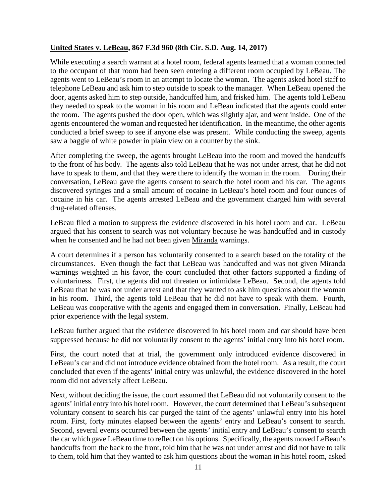#### <span id="page-10-0"></span>**United States v. LeBeau, 867 F.3d 960 (8th Cir. S.D. Aug. 14, 2017)**

While executing a search warrant at a hotel room, federal agents learned that a woman connected to the occupant of that room had been seen entering a different room occupied by LeBeau. The agents went to LeBeau's room in an attempt to locate the woman. The agents asked hotel staff to telephone LeBeau and ask him to step outside to speak to the manager. When LeBeau opened the door, agents asked him to step outside, handcuffed him, and frisked him. The agents told LeBeau they needed to speak to the woman in his room and LeBeau indicated that the agents could enter the room. The agents pushed the door open, which was slightly ajar, and went inside. One of the agents encountered the woman and requested her identification. In the meantime, the other agents conducted a brief sweep to see if anyone else was present. While conducting the sweep, agents saw a baggie of white powder in plain view on a counter by the sink.

After completing the sweep, the agents brought LeBeau into the room and moved the handcuffs to the front of his body. The agents also told LeBeau that he was not under arrest, that he did not have to speak to them, and that they were there to identify the woman in the room. During their conversation, LeBeau gave the agents consent to search the hotel room and his car. The agents discovered syringes and a small amount of cocaine in LeBeau's hotel room and four ounces of cocaine in his car. The agents arrested LeBeau and the government charged him with several drug-related offenses.

LeBeau filed a motion to suppress the evidence discovered in his hotel room and car. LeBeau argued that his consent to search was not voluntary because he was handcuffed and in custody when he consented and he had not been given Miranda warnings.

A court determines if a person has voluntarily consented to a search based on the totality of the circumstances. Even though the fact that LeBeau was handcuffed and was not given Miranda warnings weighted in his favor, the court concluded that other factors supported a finding of voluntariness. First, the agents did not threaten or intimidate LeBeau. Second, the agents told LeBeau that he was not under arrest and that they wanted to ask him questions about the woman in his room. Third, the agents told LeBeau that he did not have to speak with them. Fourth, LeBeau was cooperative with the agents and engaged them in conversation. Finally, LeBeau had prior experience with the legal system.

LeBeau further argued that the evidence discovered in his hotel room and car should have been suppressed because he did not voluntarily consent to the agents' initial entry into his hotel room.

First, the court noted that at trial, the government only introduced evidence discovered in LeBeau's car and did not introduce evidence obtained from the hotel room. As a result, the court concluded that even if the agents' initial entry was unlawful, the evidence discovered in the hotel room did not adversely affect LeBeau.

Next, without deciding the issue, the court assumed that LeBeau did not voluntarily consent to the agents' initial entry into his hotel room. However, the court determined that LeBeau's subsequent voluntary consent to search his car purged the taint of the agents' unlawful entry into his hotel room. First, forty minutes elapsed between the agents' entry and LeBeau's consent to search. Second, several events occurred between the agents' initial entry and LeBeau's consent to search the car which gave LeBeau time to reflect on his options. Specifically, the agents moved LeBeau's handcuffs from the back to the front, told him that he was not under arrest and did not have to talk to them, told him that they wanted to ask him questions about the woman in his hotel room, asked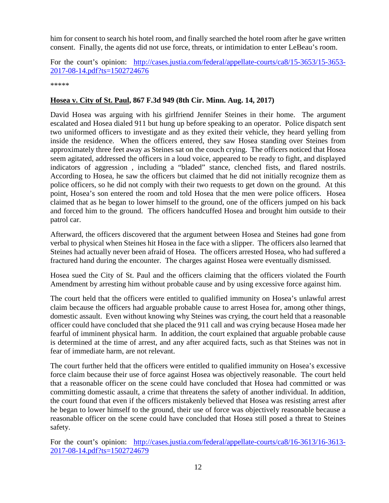him for consent to search his hotel room, and finally searched the hotel room after he gave written consent. Finally, the agents did not use force, threats, or intimidation to enter LeBeau's room.

For the court's opinion: [http://cases.justia.com/federal/appellate-courts/ca8/15-3653/15-3653-](http://cases.justia.com/federal/appellate-courts/ca8/15-3653/15-3653-2017-08-14.pdf?ts=1502724676) [2017-08-14.pdf?ts=1502724676](http://cases.justia.com/federal/appellate-courts/ca8/15-3653/15-3653-2017-08-14.pdf?ts=1502724676)

\*\*\*\*\*

#### <span id="page-11-0"></span>**Hosea v. City of St. Paul, 867 F.3d 949 (8th Cir. Minn. Aug. 14, 2017)**

David Hosea was arguing with his girlfriend Jennifer Steines in their home. The argument escalated and Hosea dialed 911 but hung up before speaking to an operator. Police dispatch sent two uniformed officers to investigate and as they exited their vehicle, they heard yelling from inside the residence. When the officers entered, they saw Hosea standing over Steines from approximately three feet away as Steines sat on the couch crying. The officers noticed that Hosea seem agitated, addressed the officers in a loud voice, appeared to be ready to fight, and displayed indicators of aggression , including a "bladed" stance, clenched fists, and flared nostrils. According to Hosea, he saw the officers but claimed that he did not initially recognize them as police officers, so he did not comply with their two requests to get down on the ground. At this point, Hosea's son entered the room and told Hosea that the men were police officers. Hosea claimed that as he began to lower himself to the ground, one of the officers jumped on his back and forced him to the ground. The officers handcuffed Hosea and brought him outside to their patrol car.

Afterward, the officers discovered that the argument between Hosea and Steines had gone from verbal to physical when Steines hit Hosea in the face with a slipper. The officers also learned that Steines had actually never been afraid of Hosea. The officers arrested Hosea, who had suffered a fractured hand during the encounter. The charges against Hosea were eventually dismissed.

Hosea sued the City of St. Paul and the officers claiming that the officers violated the Fourth Amendment by arresting him without probable cause and by using excessive force against him.

The court held that the officers were entitled to qualified immunity on Hosea's unlawful arrest claim because the officers had arguable probable cause to arrest Hosea for, among other things, domestic assault. Even without knowing why Steines was crying, the court held that a reasonable officer could have concluded that she placed the 911 call and was crying because Hosea made her fearful of imminent physical harm. In addition, the court explained that arguable probable cause is determined at the time of arrest, and any after acquired facts, such as that Steines was not in fear of immediate harm, are not relevant.

The court further held that the officers were entitled to qualified immunity on Hosea's excessive force claim because their use of force against Hosea was objectively reasonable. The court held that a reasonable officer on the scene could have concluded that Hosea had committed or was committing domestic assault, a crime that threatens the safety of another individual. In addition, the court found that even if the officers mistakenly believed that Hosea was resisting arrest after he began to lower himself to the ground, their use of force was objectively reasonable because a reasonable officer on the scene could have concluded that Hosea still posed a threat to Steines safety.

For the court's opinion: [http://cases.justia.com/federal/appellate-courts/ca8/16-3613/16-3613-](http://cases.justia.com/federal/appellate-courts/ca8/16-3613/16-3613-2017-08-14.pdf?ts=1502724679) [2017-08-14.pdf?ts=1502724679](http://cases.justia.com/federal/appellate-courts/ca8/16-3613/16-3613-2017-08-14.pdf?ts=1502724679)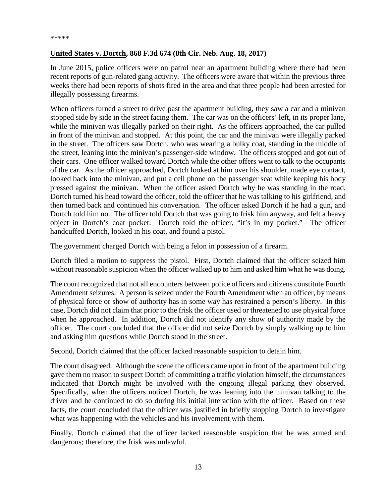#### <span id="page-12-0"></span>**United States v. Dortch, 868 F.3d 674 (8th Cir. Neb. Aug. 18, 2017)**

In June 2015, police officers were on patrol near an apartment building where there had been recent reports of gun-related gang activity. The officers were aware that within the previous three weeks there had been reports of shots fired in the area and that three people had been arrested for illegally possessing firearms.

When officers turned a street to drive past the apartment building, they saw a car and a minivan stopped side by side in the street facing them. The car was on the officers' left, in its proper lane, while the minivan was illegally parked on their right. As the officers approached, the car pulled in front of the minivan and stopped. At this point, the car and the minivan were illegally parked in the street. The officers saw Dortch, who was wearing a bulky coat, standing in the middle of the street, leaning into the minivan's passenger-side window. The officers stopped and got out of their cars. One officer walked toward Dortch while the other offers went to talk to the occupants of the car. As the officer approached, Dortch looked at him over his shoulder, made eye contact, looked back into the minivan, and put a cell phone on the passenger seat while keeping his body pressed against the minivan. When the officer asked Dortch why he was standing in the road, Dortch turned his head toward the officer, told the officer that he was talking to his girlfriend, and then turned back and continued his conversation. The officer asked Dortch if he had a gun, and Dortch told him no. The officer told Dortch that was going to frisk him anyway, and felt a heavy object in Dortch's coat pocket. Dortch told the officer, "it's in my pocket." The officer handcuffed Dortch, looked in his coat, and found a pistol.

The government charged Dortch with being a felon in possession of a firearm.

Dortch filed a motion to suppress the pistol. First, Dortch claimed that the officer seized him without reasonable suspicion when the officer walked up to him and asked him what he was doing.

The court recognized that not all encounters between police officers and citizens constitute Fourth Amendment seizures. A person is seized under the Fourth Amendment when an officer, by means of physical force or show of authority has in some way has restrained a person's liberty. In this case, Dortch did not claim that prior to the frisk the officer used or threatened to use physical force when he approached. In addition, Dortch did not identify any show of authority made by the officer. The court concluded that the officer did not seize Dortch by simply walking up to him and asking him questions while Dortch stood in the street.

Second, Dortch claimed that the officer lacked reasonable suspicion to detain him.

The court disagreed. Although the scene the officers came upon in front of the apartment building gave them no reason to suspect Dortch of committing a traffic violation himself, the circumstances indicated that Dortch might be involved with the ongoing illegal parking they observed. Specifically, when the officers noticed Dortch, he was leaning into the minivan talking to the driver and he continued to do so during his initial interaction with the officer. Based on these facts, the court concluded that the officer was justified in briefly stopping Dortch to investigate what was happening with the vehicles and his involvement with them.

Finally, Dortch claimed that the officer lacked reasonable suspicion that he was armed and dangerous; therefore, the frisk was unlawful.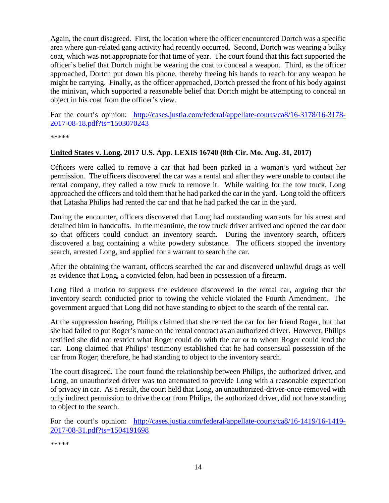Again, the court disagreed. First, the location where the officer encountered Dortch was a specific area where gun-related gang activity had recently occurred. Second, Dortch was wearing a bulky coat, which was not appropriate for that time of year. The court found that this fact supported the officer's belief that Dortch might be wearing the coat to conceal a weapon. Third, as the officer approached, Dortch put down his phone, thereby freeing his hands to reach for any weapon he might be carrying. Finally, as the officer approached, Dortch pressed the front of his body against the minivan, which supported a reasonable belief that Dortch might be attempting to conceal an object in his coat from the officer's view.

For the court's opinion: [http://cases.justia.com/federal/appellate-courts/ca8/16-3178/16-3178-](http://cases.justia.com/federal/appellate-courts/ca8/16-3178/16-3178-2017-08-18.pdf?ts=1503070243) [2017-08-18.pdf?ts=1503070243](http://cases.justia.com/federal/appellate-courts/ca8/16-3178/16-3178-2017-08-18.pdf?ts=1503070243)

\*\*\*\*\*

#### <span id="page-13-0"></span>**United States v. Long, 2017 U.S. App. LEXIS 16740 (8th Cir. Mo. Aug. 31, 2017)**

Officers were called to remove a car that had been parked in a woman's yard without her permission. The officers discovered the car was a rental and after they were unable to contact the rental company, they called a tow truck to remove it. While waiting for the tow truck, Long approached the officers and told them that he had parked the car in the yard. Long told the officers that Latasha Philips had rented the car and that he had parked the car in the yard.

During the encounter, officers discovered that Long had outstanding warrants for his arrest and detained him in handcuffs. In the meantime, the tow truck driver arrived and opened the car door so that officers could conduct an inventory search. During the inventory search, officers discovered a bag containing a white powdery substance. The officers stopped the inventory search, arrested Long, and applied for a warrant to search the car.

After the obtaining the warrant, officers searched the car and discovered unlawful drugs as well as evidence that Long, a convicted felon, had been in possession of a firearm.

Long filed a motion to suppress the evidence discovered in the rental car, arguing that the inventory search conducted prior to towing the vehicle violated the Fourth Amendment. The government argued that Long did not have standing to object to the search of the rental car.

At the suppression hearing, Philips claimed that she rented the car for her friend Roger, but that she had failed to put Roger's name on the rental contract as an authorized driver. However, Philips testified she did not restrict what Roger could do with the car or to whom Roger could lend the car. Long claimed that Philips' testimony established that he had consensual possession of the car from Roger; therefore, he had standing to object to the inventory search.

The court disagreed. The court found the relationship between Philips, the authorized driver, and Long, an unauthorized driver was too attenuated to provide Long with a reasonable expectation of privacy in car. As a result, the court held that Long, an unauthorized-driver-once-removed with only indirect permission to drive the car from Philips, the authorized driver, did not have standing to object to the search.

For the court's opinion: [http://cases.justia.com/federal/appellate-courts/ca8/16-1419/16-1419-](http://cases.justia.com/federal/appellate-courts/ca8/16-1419/16-1419-2017-08-31.pdf?ts=1504191698) [2017-08-31.pdf?ts=1504191698](http://cases.justia.com/federal/appellate-courts/ca8/16-1419/16-1419-2017-08-31.pdf?ts=1504191698)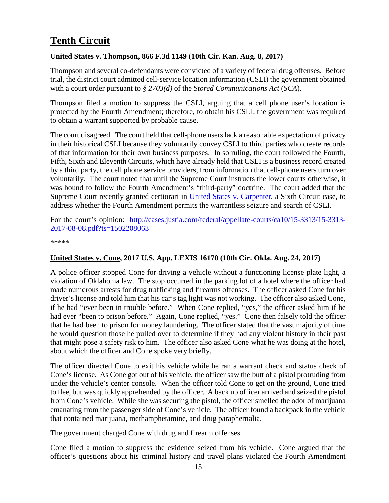## <span id="page-14-0"></span>**Tenth Circuit**

### <span id="page-14-1"></span>**United States v. Thompson, 866 F.3d 1149 (10th Cir. Kan. Aug. 8, 2017)**

Thompson and several co-defendants were convicted of a variety of federal drug offenses. Before trial, the district court admitted cell-service location information (CSLI) the government obtained with a court order pursuant to *§ 2703(d)* of the *Stored Communications Act* (*SCA*).

Thompson filed a motion to suppress the CSLI, arguing that a cell phone user's location is protected by the Fourth Amendment; therefore, to obtain his CSLI, the government was required to obtain a warrant supported by probable cause.

The court disagreed. The court held that cell-phone users lack a reasonable expectation of privacy in their historical CSLI because they voluntarily convey CSLI to third parties who create records of that information for their own business purposes. In so ruling, the court followed the Fourth, Fifth, Sixth and Eleventh Circuits, which have already held that CSLI is a business record created by a third party, the cell phone service providers, from information that cell-phone users turn over voluntarily. The court noted that until the Supreme Court instructs the lower courts otherwise, it was bound to follow the Fourth Amendment's "third-party" doctrine. The court added that the Supreme Court recently granted certiorari in [United States v. Carpenter,](https://www.supremecourt.gov/qp/16-00402qp.pdf) a Sixth Circuit case, to address whether the Fourth Amendment permits the warrantless seizure and search of CSLI.

For the court's opinion: [http://cases.justia.com/federal/appellate-courts/ca10/15-3313/15-3313-](http://cases.justia.com/federal/appellate-courts/ca10/15-3313/15-3313-2017-08-08.pdf?ts=1502208063) [2017-08-08.pdf?ts=1502208063](http://cases.justia.com/federal/appellate-courts/ca10/15-3313/15-3313-2017-08-08.pdf?ts=1502208063)

\*\*\*\*\*

## <span id="page-14-2"></span>**United States v. Cone, 2017 U.S. App. LEXIS 16170 (10th Cir. Okla. Aug. 24, 2017)**

A police officer stopped Cone for driving a vehicle without a functioning license plate light, a violation of Oklahoma law. The stop occurred in the parking lot of a hotel where the officer had made numerous arrests for drug trafficking and firearms offenses. The officer asked Cone for his driver's license and told him that his car's tag light was not working. The officer also asked Cone, if he had "ever been in trouble before." When Cone replied, "yes," the officer asked him if he had ever "been to prison before." Again, Cone replied, "yes." Cone then falsely told the officer that he had been to prison for money laundering. The officer stated that the vast majority of time he would question those he pulled over to determine if they had any violent history in their past that might pose a safety risk to him. The officer also asked Cone what he was doing at the hotel, about which the officer and Cone spoke very briefly.

The officer directed Cone to exit his vehicle while he ran a warrant check and status check of Cone's license. As Cone got out of his vehicle, the officer saw the butt of a pistol protruding from under the vehicle's center console. When the officer told Cone to get on the ground, Cone tried to flee, but was quickly apprehended by the officer. A back up officer arrived and seized the pistol from Cone's vehicle. While she was securing the pistol, the officer smelled the odor of marijuana emanating from the passenger side of Cone's vehicle. The officer found a backpack in the vehicle that contained marijuana, methamphetamine, and drug paraphernalia.

The government charged Cone with drug and firearm offenses.

Cone filed a motion to suppress the evidence seized from his vehicle. Cone argued that the officer's questions about his criminal history and travel plans violated the Fourth Amendment